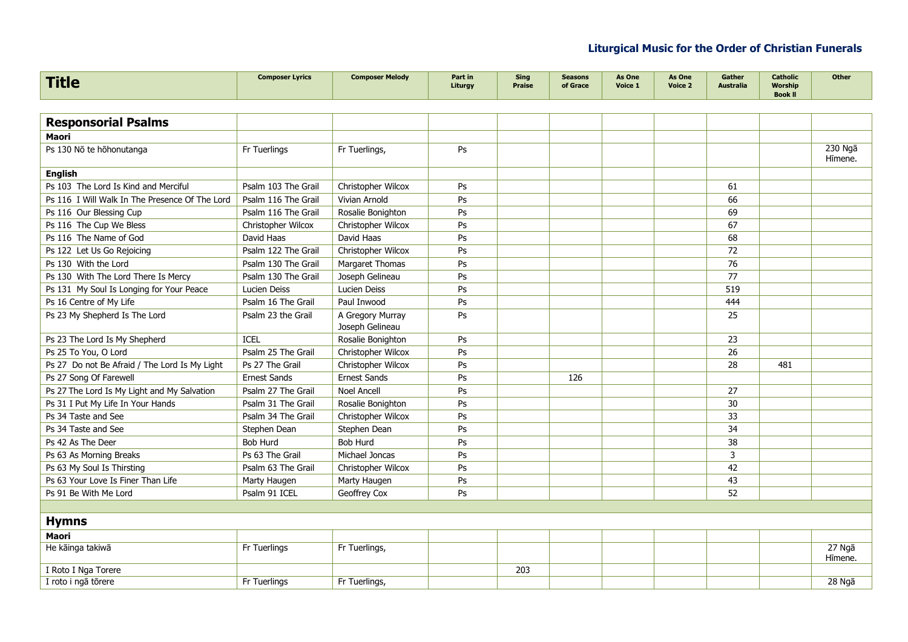| <b>Title</b>                                   | <b>Composer Lyrics</b> | <b>Composer Melody</b>              | Part in<br>Liturgy | <b>Sing</b><br><b>Praise</b> | <b>Seasons</b><br>of Grace | As One<br>Voice 1 | As One<br>Voice 2 | Gather<br><b>Australia</b> | <b>Catholic</b><br><b>Worship</b><br><b>Book II</b> | <b>Other</b>       |
|------------------------------------------------|------------------------|-------------------------------------|--------------------|------------------------------|----------------------------|-------------------|-------------------|----------------------------|-----------------------------------------------------|--------------------|
|                                                |                        |                                     |                    |                              |                            |                   |                   |                            |                                                     |                    |
| <b>Responsorial Psalms</b>                     |                        |                                     |                    |                              |                            |                   |                   |                            |                                                     |                    |
| <b>Maori</b>                                   |                        |                                     |                    |                              |                            |                   |                   |                            |                                                     |                    |
| Ps 130 No te hohonutanga                       | Fr Tuerlings           | Fr Tuerlings,                       | Ps                 |                              |                            |                   |                   |                            |                                                     | 230 Ngā<br>Hīmene. |
| <b>English</b>                                 |                        |                                     |                    |                              |                            |                   |                   |                            |                                                     |                    |
| Ps 103 The Lord Is Kind and Merciful           | Psalm 103 The Grail    | Christopher Wilcox                  | Ps                 |                              |                            |                   |                   | 61                         |                                                     |                    |
| Ps 116 I Will Walk In The Presence Of The Lord | Psalm 116 The Grail    | Vivian Arnold                       | Ps                 |                              |                            |                   |                   | 66                         |                                                     |                    |
| Ps 116 Our Blessing Cup                        | Psalm 116 The Grail    | Rosalie Bonighton                   | Ps                 |                              |                            |                   |                   | 69                         |                                                     |                    |
| Ps 116 The Cup We Bless                        | Christopher Wilcox     | Christopher Wilcox                  | Ps                 |                              |                            |                   |                   | 67                         |                                                     |                    |
| Ps 116 The Name of God                         | David Haas             | David Haas                          | Ps                 |                              |                            |                   |                   | 68                         |                                                     |                    |
| Ps 122 Let Us Go Rejoicing                     | Psalm 122 The Grail    | Christopher Wilcox                  | Ps                 |                              |                            |                   |                   | 72                         |                                                     |                    |
| Ps 130 With the Lord                           | Psalm 130 The Grail    | Margaret Thomas                     | Ps                 |                              |                            |                   |                   | 76                         |                                                     |                    |
| Ps 130 With The Lord There Is Mercy            | Psalm 130 The Grail    | Joseph Gelineau                     | Ps                 |                              |                            |                   |                   | 77                         |                                                     |                    |
| Ps 131 My Soul Is Longing for Your Peace       | Lucien Deiss           | Lucien Deiss                        | Ps                 |                              |                            |                   |                   | 519                        |                                                     |                    |
| Ps 16 Centre of My Life                        | Psalm 16 The Grail     | Paul Inwood                         | Ps                 |                              |                            |                   |                   | 444                        |                                                     |                    |
| Ps 23 My Shepherd Is The Lord                  | Psalm 23 the Grail     | A Gregory Murray<br>Joseph Gelineau | Ps                 |                              |                            |                   |                   | 25                         |                                                     |                    |
| Ps 23 The Lord Is My Shepherd                  | <b>ICEL</b>            | Rosalie Bonighton                   | Ps                 |                              |                            |                   |                   | 23                         |                                                     |                    |
| Ps 25 To You, O Lord                           | Psalm 25 The Grail     | Christopher Wilcox                  | Ps                 |                              |                            |                   |                   | 26                         |                                                     |                    |
| Ps 27 Do not Be Afraid / The Lord Is My Light  | Ps 27 The Grail        | Christopher Wilcox                  | Ps                 |                              |                            |                   |                   | 28                         | 481                                                 |                    |
| Ps 27 Song Of Farewell                         | <b>Ernest Sands</b>    | <b>Ernest Sands</b>                 | Ps                 |                              | 126                        |                   |                   |                            |                                                     |                    |
| Ps 27 The Lord Is My Light and My Salvation    | Psalm 27 The Grail     | Noel Ancell                         | Ps                 |                              |                            |                   |                   | 27                         |                                                     |                    |
| Ps 31 I Put My Life In Your Hands              | Psalm 31 The Grail     | Rosalie Bonighton                   | Ps                 |                              |                            |                   |                   | 30                         |                                                     |                    |
| Ps 34 Taste and See                            | Psalm 34 The Grail     | Christopher Wilcox                  | Ps                 |                              |                            |                   |                   | 33                         |                                                     |                    |
| Ps 34 Taste and See                            | Stephen Dean           | Stephen Dean                        | Ps                 |                              |                            |                   |                   | 34                         |                                                     |                    |
| Ps 42 As The Deer                              | <b>Bob Hurd</b>        | <b>Bob Hurd</b>                     | Ps                 |                              |                            |                   |                   | 38                         |                                                     |                    |
| Ps 63 As Morning Breaks                        | Ps 63 The Grail        | Michael Joncas                      | Ps                 |                              |                            |                   |                   | 3                          |                                                     |                    |
| Ps 63 My Soul Is Thirsting                     | Psalm 63 The Grail     | Christopher Wilcox                  | Ps                 |                              |                            |                   |                   | 42                         |                                                     |                    |
| Ps 63 Your Love Is Finer Than Life             | Marty Haugen           | Marty Haugen                        | Ps                 |                              |                            |                   |                   | 43                         |                                                     |                    |
| Ps 91 Be With Me Lord                          | Psalm 91 ICEL          | Geoffrey Cox                        | Ps                 |                              |                            |                   |                   | 52                         |                                                     |                    |
|                                                |                        |                                     |                    |                              |                            |                   |                   |                            |                                                     |                    |
| <b>Hymns</b>                                   |                        |                                     |                    |                              |                            |                   |                   |                            |                                                     |                    |
| <b>Maori</b>                                   |                        |                                     |                    |                              |                            |                   |                   |                            |                                                     |                    |
| He kāinga takiwā                               | Fr Tuerlings           | Fr Tuerlings,                       |                    |                              |                            |                   |                   |                            |                                                     | 27 Ngā<br>Hīmene.  |
| I Roto I Nga Torere                            |                        |                                     |                    | 203                          |                            |                   |                   |                            |                                                     |                    |
| I roto i ngā tōrere                            | Fr Tuerlings           | Fr Tuerlings,                       |                    |                              |                            |                   |                   |                            |                                                     | 28 Ngā             |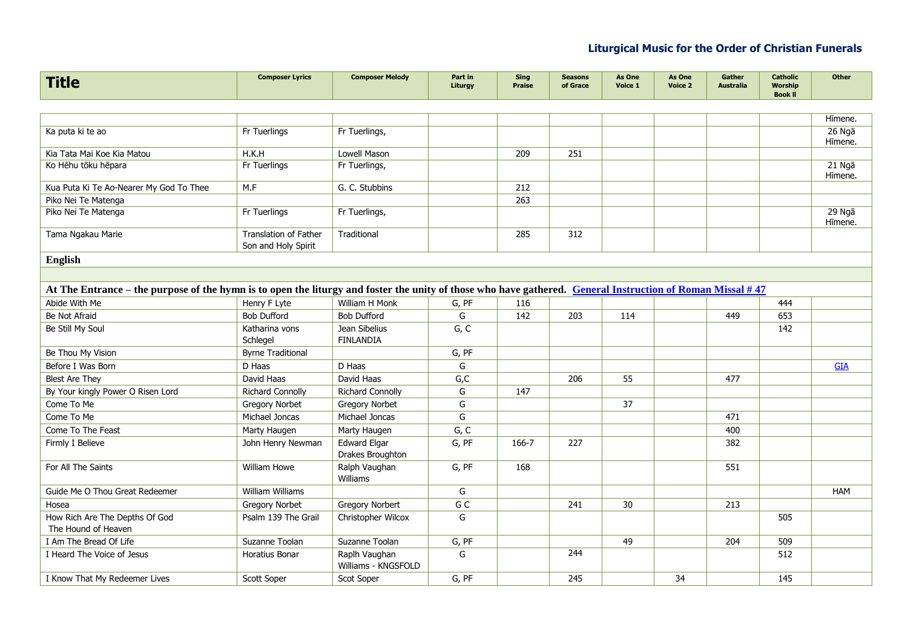| <b>Title</b>                                                                                                                                              | <b>Composer Lyrics</b>                              | <b>Composer Melody</b>                  | Part in<br>Liturgy | <b>Sing</b><br><b>Praise</b> | <b>Seasons</b><br>of Grace | As One<br>Voice 1 | As One<br>Voice 2 | Gather<br><b>Australia</b> | <b>Catholic</b><br><b>Worship</b><br><b>Book II</b> | <b>Other</b>      |
|-----------------------------------------------------------------------------------------------------------------------------------------------------------|-----------------------------------------------------|-----------------------------------------|--------------------|------------------------------|----------------------------|-------------------|-------------------|----------------------------|-----------------------------------------------------|-------------------|
|                                                                                                                                                           |                                                     |                                         |                    |                              |                            |                   |                   |                            |                                                     |                   |
|                                                                                                                                                           |                                                     |                                         |                    |                              |                            |                   |                   |                            |                                                     | Hīmene.           |
| Ka puta ki te ao                                                                                                                                          | Fr Tuerlings                                        | Fr Tuerlings,                           |                    |                              |                            |                   |                   |                            |                                                     | 26 Ngā            |
| Kia Tata Mai Koe Kia Matou                                                                                                                                | H.K.H                                               | Lowell Mason                            |                    | 209                          | 251                        |                   |                   |                            |                                                     | Hīmene.           |
| Ko Hēhu tōku hēpara                                                                                                                                       | Fr Tuerlings                                        | Fr Tuerlings,                           |                    |                              |                            |                   |                   |                            |                                                     | 21 Ngā            |
|                                                                                                                                                           |                                                     |                                         |                    |                              |                            |                   |                   |                            |                                                     | Hīmene.           |
| Kua Puta Ki Te Ao-Nearer My God To Thee                                                                                                                   | M.F                                                 | G. C. Stubbins                          |                    | 212                          |                            |                   |                   |                            |                                                     |                   |
| Piko Nei Te Matenga                                                                                                                                       |                                                     |                                         |                    | 263                          |                            |                   |                   |                            |                                                     |                   |
| Piko Nei Te Matenga                                                                                                                                       | Fr Tuerlings                                        | Fr Tuerlings,                           |                    |                              |                            |                   |                   |                            |                                                     | 29 Ngā<br>Hīmene. |
| Tama Ngakau Marie                                                                                                                                         | <b>Translation of Father</b><br>Son and Holy Spirit | Traditional                             |                    | 285                          | 312                        |                   |                   |                            |                                                     |                   |
| <b>English</b>                                                                                                                                            |                                                     |                                         |                    |                              |                            |                   |                   |                            |                                                     |                   |
|                                                                                                                                                           |                                                     |                                         |                    |                              |                            |                   |                   |                            |                                                     |                   |
| At The Entrance – the purpose of the hymn is to open the liturgy and foster the unity of those who have gathered. General Instruction of Roman Missal #47 |                                                     |                                         |                    |                              |                            |                   |                   |                            |                                                     |                   |
| Abide With Me                                                                                                                                             | Henry F Lyte                                        | William H Monk                          | G, PF              | 116                          |                            |                   |                   |                            | 444                                                 |                   |
| Be Not Afraid                                                                                                                                             | <b>Bob Dufford</b>                                  | <b>Bob Dufford</b>                      | G                  | 142                          | 203                        | 114               |                   | 449                        | 653                                                 |                   |
| Be Still My Soul                                                                                                                                          | Katharina vons                                      | Jean Sibelius                           | G, C               |                              |                            |                   |                   |                            | 142                                                 |                   |
|                                                                                                                                                           | Schlegel                                            | <b>FINLANDIA</b>                        |                    |                              |                            |                   |                   |                            |                                                     |                   |
| Be Thou My Vision                                                                                                                                         | <b>Byrne Traditional</b>                            |                                         | G, PF              |                              |                            |                   |                   |                            |                                                     |                   |
| Before I Was Born                                                                                                                                         | D Haas                                              | D Haas                                  | G                  |                              |                            |                   |                   |                            |                                                     | <b>GIA</b>        |
| <b>Blest Are They</b>                                                                                                                                     | David Haas                                          | David Haas                              | G, C               |                              | 206                        | 55                |                   | 477                        |                                                     |                   |
| By Your kingly Power O Risen Lord                                                                                                                         | <b>Richard Connolly</b>                             | <b>Richard Connolly</b>                 | G                  | 147                          |                            |                   |                   |                            |                                                     |                   |
| Come To Me                                                                                                                                                | <b>Gregory Norbet</b>                               | <b>Gregory Norbet</b>                   | G                  |                              |                            | 37                |                   |                            |                                                     |                   |
| Come To Me                                                                                                                                                | Michael Joncas                                      | Michael Joncas                          | G                  |                              |                            |                   |                   | 471                        |                                                     |                   |
| Come To The Feast                                                                                                                                         | Marty Haugen                                        | Marty Haugen                            | G, C               |                              |                            |                   |                   | 400                        |                                                     |                   |
| Firmly I Believe                                                                                                                                          | John Henry Newman                                   | <b>Edward Elgar</b><br>Drakes Broughton | G, PF              | 166-7                        | 227                        |                   |                   | 382                        |                                                     |                   |
| For All The Saints                                                                                                                                        | William Howe                                        | Ralph Vaughan<br><b>Williams</b>        | G, PF              | 168                          |                            |                   |                   | 551                        |                                                     |                   |
| Guide Me O Thou Great Redeemer                                                                                                                            | William Williams                                    |                                         | G                  |                              |                            |                   |                   |                            |                                                     | <b>HAM</b>        |
| Hosea                                                                                                                                                     | <b>Gregory Norbet</b>                               | <b>Gregory Norbert</b>                  | G C                |                              | 241                        | 30                |                   | 213                        |                                                     |                   |
| How Rich Are The Depths Of God                                                                                                                            | Psalm 139 The Grail                                 | Christopher Wilcox                      | G                  |                              |                            |                   |                   |                            | 505                                                 |                   |
| The Hound of Heaven                                                                                                                                       |                                                     |                                         |                    |                              |                            |                   |                   |                            |                                                     |                   |
| I Am The Bread Of Life                                                                                                                                    | Suzanne Toolan                                      | Suzanne Toolan                          | G, PF              |                              |                            | 49                |                   | 204                        | 509                                                 |                   |
| I Heard The Voice of Jesus                                                                                                                                | Horatius Bonar                                      | Raplh Vaughan<br>Williams - KNGSFOLD    | G                  |                              | 244                        |                   |                   |                            | 512                                                 |                   |
| I Know That My Redeemer Lives                                                                                                                             | Scott Soper                                         | Scot Soper                              | G, PF              |                              | 245                        |                   | 34                |                            | 145                                                 |                   |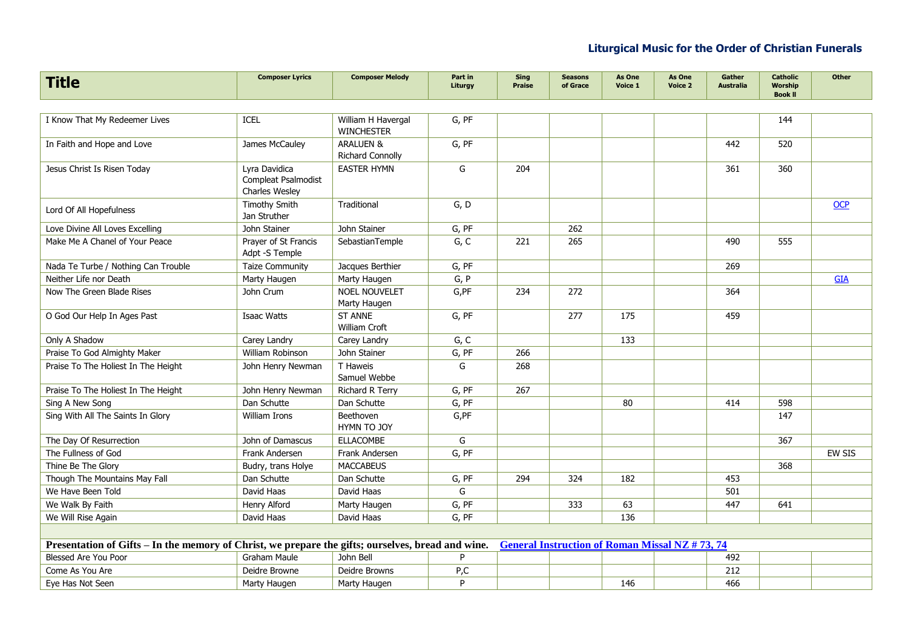| <b>Title</b>                                                                                      | <b>Composer Lyrics</b>                                 | <b>Composer Melody</b>                          | Part in<br>Liturgy | Sing<br><b>Praise</b> | <b>Seasons</b><br>of Grace                            | As One<br>Voice 1 | As One<br>Voice 2 | Gather<br><b>Australia</b> | <b>Catholic</b><br><b>Worship</b><br><b>Book II</b> | Other         |
|---------------------------------------------------------------------------------------------------|--------------------------------------------------------|-------------------------------------------------|--------------------|-----------------------|-------------------------------------------------------|-------------------|-------------------|----------------------------|-----------------------------------------------------|---------------|
|                                                                                                   |                                                        |                                                 |                    |                       |                                                       |                   |                   |                            |                                                     |               |
| I Know That My Redeemer Lives                                                                     | <b>ICEL</b>                                            | William H Havergal<br><b>WINCHESTER</b>         | G, PF              |                       |                                                       |                   |                   |                            | 144                                                 |               |
| In Faith and Hope and Love                                                                        | James McCauley                                         | <b>ARALUEN &amp;</b><br><b>Richard Connolly</b> | G, PF              |                       |                                                       |                   |                   | 442                        | 520                                                 |               |
| Jesus Christ Is Risen Today                                                                       | Lyra Davidica<br>Compleat Psalmodist<br>Charles Wesley | <b>EASTER HYMN</b>                              | G                  | 204                   |                                                       |                   |                   | 361                        | 360                                                 |               |
| Lord Of All Hopefulness                                                                           | Timothy Smith<br>Jan Struther                          | Traditional                                     | G, D               |                       |                                                       |                   |                   |                            |                                                     | OCP           |
| Love Divine All Loves Excelling                                                                   | John Stainer                                           | John Stainer                                    | G, PF              |                       | 262                                                   |                   |                   |                            |                                                     |               |
| Make Me A Chanel of Your Peace                                                                    | Prayer of St Francis<br>Adpt -S Temple                 | SebastianTemple                                 | G, C               | 221                   | 265                                                   |                   |                   | 490                        | 555                                                 |               |
| Nada Te Turbe / Nothing Can Trouble                                                               | <b>Taize Community</b>                                 | Jacques Berthier                                | G, PF              |                       |                                                       |                   |                   | 269                        |                                                     |               |
| Neither Life nor Death                                                                            | Marty Haugen                                           | Marty Haugen                                    | G, P               |                       |                                                       |                   |                   |                            |                                                     | <b>GIA</b>    |
| Now The Green Blade Rises                                                                         | John Crum                                              | <b>NOEL NOUVELET</b><br>Marty Haugen            | G,PF               | 234                   | 272                                                   |                   |                   | 364                        |                                                     |               |
| O God Our Help In Ages Past                                                                       | <b>Isaac Watts</b>                                     | <b>ST ANNE</b><br>William Croft                 | G, PF              |                       | 277                                                   | 175               |                   | 459                        |                                                     |               |
| Only A Shadow                                                                                     | Carey Landry                                           | Carey Landry                                    | G, C               |                       |                                                       | 133               |                   |                            |                                                     |               |
| Praise To God Almighty Maker                                                                      | William Robinson                                       | John Stainer                                    | G, PF              | 266                   |                                                       |                   |                   |                            |                                                     |               |
| Praise To The Holiest In The Height                                                               | John Henry Newman                                      | T Haweis<br>Samuel Webbe                        | G                  | 268                   |                                                       |                   |                   |                            |                                                     |               |
| Praise To The Holiest In The Height                                                               | John Henry Newman                                      | Richard R Terry                                 | G, PF              | 267                   |                                                       |                   |                   |                            |                                                     |               |
| Sing A New Song                                                                                   | Dan Schutte                                            | Dan Schutte                                     | G, PF              |                       |                                                       | 80                |                   | 414                        | 598                                                 |               |
| Sing With All The Saints In Glory                                                                 | William Irons                                          | Beethoven<br>HYMN TO JOY                        | G,PF               |                       |                                                       |                   |                   |                            | 147                                                 |               |
| The Day Of Resurrection                                                                           | John of Damascus                                       | <b>ELLACOMBE</b>                                | G                  |                       |                                                       |                   |                   |                            | 367                                                 |               |
| The Fullness of God                                                                               | Frank Andersen                                         | Frank Andersen                                  | G. PF              |                       |                                                       |                   |                   |                            |                                                     | <b>EW SIS</b> |
| Thine Be The Glory                                                                                | Budry, trans Holye                                     | <b>MACCABEUS</b>                                |                    |                       |                                                       |                   |                   |                            | 368                                                 |               |
| Though The Mountains May Fall                                                                     | Dan Schutte                                            | Dan Schutte                                     | G, PF              | 294                   | 324                                                   | 182               |                   | 453                        |                                                     |               |
| We Have Been Told                                                                                 | David Haas                                             | David Haas                                      | G                  |                       |                                                       |                   |                   | 501                        |                                                     |               |
| We Walk By Faith                                                                                  | Henry Alford                                           | Marty Haugen                                    | G, PF              |                       | 333                                                   | 63                |                   | 447                        | 641                                                 |               |
| We Will Rise Again                                                                                | David Haas                                             | David Haas                                      | G, PF              |                       |                                                       | 136               |                   |                            |                                                     |               |
|                                                                                                   |                                                        |                                                 |                    |                       |                                                       |                   |                   |                            |                                                     |               |
| Presentation of Gifts – In the memory of Christ, we prepare the gifts; ourselves, bread and wine. |                                                        |                                                 |                    |                       | <b>General Instruction of Roman Missal NZ #73, 74</b> |                   |                   |                            |                                                     |               |
| <b>Blessed Are You Poor</b>                                                                       | Graham Maule                                           | John Bell                                       | P                  |                       |                                                       |                   |                   | 492                        |                                                     |               |
| Come As You Are                                                                                   | Deidre Browne                                          | Deidre Browns                                   | P,C                |                       |                                                       |                   |                   | 212                        |                                                     |               |
| Eye Has Not Seen                                                                                  | Marty Haugen                                           | Marty Haugen                                    | P                  |                       |                                                       | 146               |                   | 466                        |                                                     |               |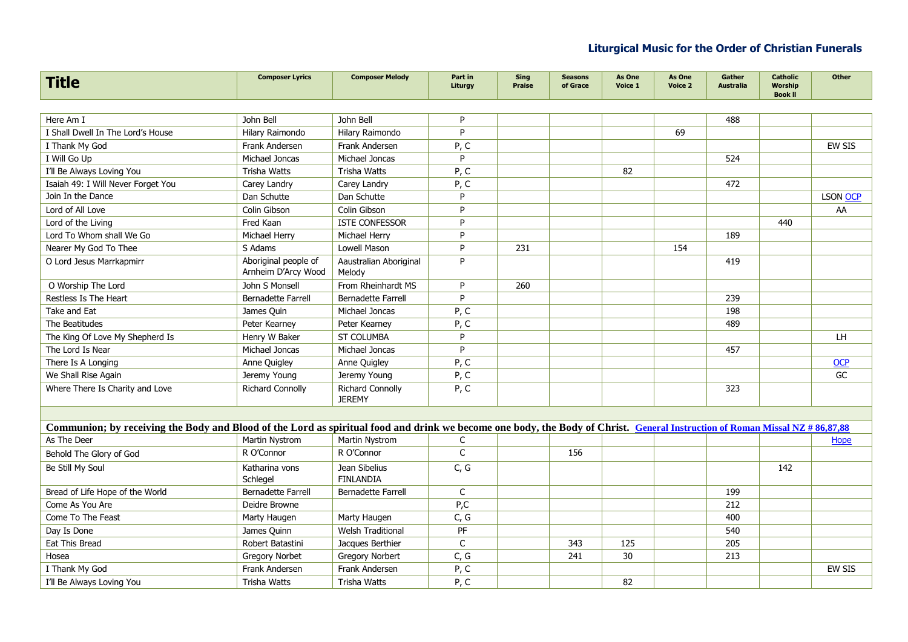| <b>Title</b>                                                                                                                                                                | <b>Composer Lyrics</b>                      | <b>Composer Melody</b>                   | Part in<br>Liturgy | <b>Sing</b><br><b>Praise</b> | <b>Seasons</b><br>of Grace | As One<br>Voice 1 | As One<br>Voice 2 | Gather<br><b>Australia</b> | <b>Catholic</b><br><b>Worship</b><br><b>Book II</b> | Other         |
|-----------------------------------------------------------------------------------------------------------------------------------------------------------------------------|---------------------------------------------|------------------------------------------|--------------------|------------------------------|----------------------------|-------------------|-------------------|----------------------------|-----------------------------------------------------|---------------|
|                                                                                                                                                                             |                                             |                                          |                    |                              |                            |                   |                   |                            |                                                     |               |
| Here Am I                                                                                                                                                                   | John Bell                                   | John Bell                                | P                  |                              |                            |                   |                   | 488                        |                                                     |               |
| I Shall Dwell In The Lord's House                                                                                                                                           | Hilary Raimondo                             | Hilary Raimondo                          | P                  |                              |                            |                   | 69                |                            |                                                     |               |
| I Thank My God                                                                                                                                                              | Frank Andersen                              | Frank Andersen                           | P, C               |                              |                            |                   |                   |                            |                                                     | <b>EW SIS</b> |
| I Will Go Up                                                                                                                                                                | Michael Joncas                              | Michael Joncas                           | P                  |                              |                            |                   |                   | 524                        |                                                     |               |
| I'll Be Always Loving You                                                                                                                                                   | <b>Trisha Watts</b>                         | <b>Trisha Watts</b>                      | P, C               |                              |                            | 82                |                   |                            |                                                     |               |
| Isaiah 49: I Will Never Forget You                                                                                                                                          | Carey Landry                                | Carey Landry                             | P, C               |                              |                            |                   |                   | 472                        |                                                     |               |
| Join In the Dance                                                                                                                                                           | Dan Schutte                                 | Dan Schutte                              | P                  |                              |                            |                   |                   |                            |                                                     | LSON OCP      |
| Lord of All Love                                                                                                                                                            | Colin Gibson                                | Colin Gibson                             | P                  |                              |                            |                   |                   |                            |                                                     | AA            |
| Lord of the Living                                                                                                                                                          | Fred Kaan                                   | <b>ISTE CONFESSOR</b>                    | P                  |                              |                            |                   |                   |                            | 440                                                 |               |
| Lord To Whom shall We Go                                                                                                                                                    | Michael Herry                               | Michael Herry                            | P                  |                              |                            |                   |                   | 189                        |                                                     |               |
| Nearer My God To Thee                                                                                                                                                       | S Adams                                     | Lowell Mason                             | P                  | 231                          |                            |                   | 154               |                            |                                                     |               |
| O Lord Jesus Marrkapmirr                                                                                                                                                    | Aboriginal people of<br>Arnheim D'Arcy Wood | Aaustralian Aboriginal<br>Melody         | P                  |                              |                            |                   |                   | 419                        |                                                     |               |
| O Worship The Lord                                                                                                                                                          | John S Monsell                              | From Rheinhardt MS                       | P                  | 260                          |                            |                   |                   |                            |                                                     |               |
| Restless Is The Heart                                                                                                                                                       | <b>Bernadette Farrell</b>                   | <b>Bernadette Farrell</b>                | P                  |                              |                            |                   |                   | 239                        |                                                     |               |
| Take and Eat                                                                                                                                                                | James Quin                                  | Michael Joncas                           | P, C               |                              |                            |                   |                   | 198                        |                                                     |               |
| The Beatitudes                                                                                                                                                              | Peter Kearney                               | Peter Kearney                            | P, C               |                              |                            |                   |                   | 489                        |                                                     |               |
| The King Of Love My Shepherd Is                                                                                                                                             | Henry W Baker                               | <b>ST COLUMBA</b>                        | P                  |                              |                            |                   |                   |                            |                                                     | LH            |
| The Lord Is Near                                                                                                                                                            | Michael Joncas                              | Michael Joncas                           | P                  |                              |                            |                   |                   | 457                        |                                                     |               |
| There Is A Longing                                                                                                                                                          | Anne Quigley                                | Anne Quigley                             | P, C               |                              |                            |                   |                   |                            |                                                     | OCP           |
| We Shall Rise Again                                                                                                                                                         | Jeremy Young                                | Jeremy Young                             | P, C               |                              |                            |                   |                   |                            |                                                     | GC            |
| Where There Is Charity and Love                                                                                                                                             | <b>Richard Connolly</b>                     | <b>Richard Connolly</b><br><b>JEREMY</b> | P, C               |                              |                            |                   |                   | 323                        |                                                     |               |
|                                                                                                                                                                             |                                             |                                          |                    |                              |                            |                   |                   |                            |                                                     |               |
| Communion; by receiving the Body and Blood of the Lord as spiritual food and drink we become one body, the Body of Christ. General Instruction of Roman Missal NZ #86,87,88 |                                             |                                          |                    |                              |                            |                   |                   |                            |                                                     |               |
| As The Deer                                                                                                                                                                 | Martin Nystrom                              | Martin Nystrom                           | C                  |                              |                            |                   |                   |                            |                                                     | Hope          |
| Behold The Glory of God                                                                                                                                                     | R O'Connor                                  | R O'Connor                               | $\mathsf C$        |                              | 156                        |                   |                   |                            |                                                     |               |
| Be Still My Soul                                                                                                                                                            | Katharina vons                              | Jean Sibelius                            | C, G               |                              |                            |                   |                   |                            | 142                                                 |               |
|                                                                                                                                                                             | Schlegel                                    | <b>FINLANDIA</b>                         |                    |                              |                            |                   |                   |                            |                                                     |               |
| Bread of Life Hope of the World                                                                                                                                             | <b>Bernadette Farrell</b>                   | Bernadette Farrell                       | C                  |                              |                            |                   |                   | 199                        |                                                     |               |
| Come As You Are                                                                                                                                                             | Deidre Browne                               |                                          | P,C                |                              |                            |                   |                   | 212                        |                                                     |               |
| Come To The Feast                                                                                                                                                           | Marty Haugen                                | Marty Haugen                             | C, G               |                              |                            |                   |                   | 400                        |                                                     |               |
| Day Is Done                                                                                                                                                                 | James Quinn                                 | <b>Welsh Traditional</b>                 | PF                 |                              |                            |                   |                   | 540                        |                                                     |               |
| Eat This Bread                                                                                                                                                              | Robert Batastini                            | Jacques Berthier                         | C                  |                              | 343                        | 125               |                   | 205                        |                                                     |               |
| Hosea                                                                                                                                                                       | <b>Gregory Norbet</b>                       | <b>Gregory Norbert</b>                   | C, G               |                              | 241                        | 30                |                   | 213                        |                                                     |               |
| I Thank My God                                                                                                                                                              | Frank Andersen                              | Frank Andersen                           | P, C               |                              |                            |                   |                   |                            |                                                     | <b>EW SIS</b> |
| I'll Be Always Loving You                                                                                                                                                   | Trisha Watts                                | Trisha Watts                             | P.C                |                              |                            | 82                |                   |                            |                                                     |               |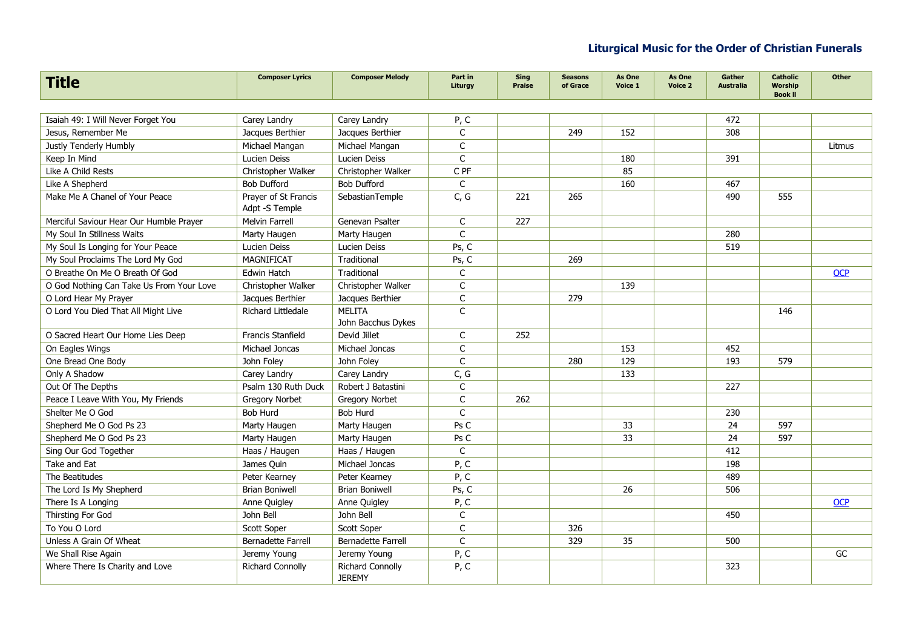| <b>Title</b>                             | <b>Composer Lyrics</b>                 | <b>Composer Melody</b>                   | Part in<br>Liturgy | <b>Sing</b><br><b>Praise</b> | <b>Seasons</b><br>of Grace | As One<br>Voice 1 | As One<br>Voice 2 | Gather<br><b>Australia</b> | <b>Catholic</b><br><b>Worship</b><br><b>Book II</b> | <b>Other</b> |
|------------------------------------------|----------------------------------------|------------------------------------------|--------------------|------------------------------|----------------------------|-------------------|-------------------|----------------------------|-----------------------------------------------------|--------------|
|                                          |                                        |                                          |                    |                              |                            |                   |                   |                            |                                                     |              |
| Isaiah 49: I Will Never Forget You       | Carey Landry                           | Carey Landry                             | P, C               |                              |                            |                   |                   | 472                        |                                                     |              |
| Jesus, Remember Me                       | Jacques Berthier                       | Jacques Berthier                         | C                  |                              | 249                        | 152               |                   | 308                        |                                                     |              |
| Justly Tenderly Humbly                   | Michael Mangan                         | Michael Mangan                           | $\mathsf{C}$       |                              |                            |                   |                   |                            |                                                     | Litmus       |
| Keep In Mind                             | Lucien Deiss                           | Lucien Deiss                             | $\mathsf{C}$       |                              |                            | 180               |                   | 391                        |                                                     |              |
| Like A Child Rests                       | Christopher Walker                     | Christopher Walker                       | C PF               |                              |                            | 85                |                   |                            |                                                     |              |
| Like A Shepherd                          | <b>Bob Dufford</b>                     | <b>Bob Dufford</b>                       | $\mathsf{C}$       |                              |                            | 160               |                   | 467                        |                                                     |              |
| Make Me A Chanel of Your Peace           | Praver of St Francis<br>Adpt -S Temple | SebastianTemple                          | C, G               | 221                          | 265                        |                   |                   | 490                        | 555                                                 |              |
| Merciful Saviour Hear Our Humble Prayer  | Melvin Farrell                         | Genevan Psalter                          | C                  | 227                          |                            |                   |                   |                            |                                                     |              |
| My Soul In Stillness Waits               | Marty Haugen                           | Marty Haugen                             | $\mathsf{C}$       |                              |                            |                   |                   | 280                        |                                                     |              |
| My Soul Is Longing for Your Peace        | Lucien Deiss                           | Lucien Deiss                             | Ps, C              |                              |                            |                   |                   | 519                        |                                                     |              |
| My Soul Proclaims The Lord My God        | MAGNIFICAT                             | Traditional                              | Ps, C              |                              | 269                        |                   |                   |                            |                                                     |              |
| O Breathe On Me O Breath Of God          | <b>Edwin Hatch</b>                     | Traditional                              | C                  |                              |                            |                   |                   |                            |                                                     | <b>OCP</b>   |
| O God Nothing Can Take Us From Your Love | Christopher Walker                     | Christopher Walker                       | C                  |                              |                            | 139               |                   |                            |                                                     |              |
| O Lord Hear My Prayer                    | Jacques Berthier                       | Jacques Berthier                         | $\mathsf C$        |                              | 279                        |                   |                   |                            |                                                     |              |
| O Lord You Died That All Might Live      | Richard Littledale                     | MELITA<br>John Bacchus Dykes             | $\mathsf{C}$       |                              |                            |                   |                   |                            | 146                                                 |              |
| O Sacred Heart Our Home Lies Deep        | <b>Francis Stanfield</b>               | Devid Jillet                             | C                  | 252                          |                            |                   |                   |                            |                                                     |              |
| On Eagles Wings                          | Michael Joncas                         | Michael Joncas                           | C                  |                              |                            | 153               |                   | 452                        |                                                     |              |
| One Bread One Body                       | John Foley                             | John Foley                               | $\mathsf{C}$       |                              | 280                        | 129               |                   | 193                        | 579                                                 |              |
| Only A Shadow                            | Carey Landry                           | Carey Landry                             | C, G               |                              |                            | 133               |                   |                            |                                                     |              |
| Out Of The Depths                        | Psalm 130 Ruth Duck                    | Robert J Batastini                       | C                  |                              |                            |                   |                   | 227                        |                                                     |              |
| Peace I Leave With You, My Friends       | <b>Gregory Norbet</b>                  | <b>Gregory Norbet</b>                    | $\mathsf{C}$       | 262                          |                            |                   |                   |                            |                                                     |              |
| Shelter Me O God                         | <b>Bob Hurd</b>                        | Bob Hurd                                 | $\mathsf{C}$       |                              |                            |                   |                   | 230                        |                                                     |              |
| Shepherd Me O God Ps 23                  | Marty Haugen                           | Marty Haugen                             | Ps C               |                              |                            | 33                |                   | 24                         | 597                                                 |              |
| Shepherd Me O God Ps 23                  | Marty Haugen                           | Marty Haugen                             | Ps C               |                              |                            | 33                |                   | 24                         | 597                                                 |              |
| Sing Our God Together                    | Haas / Haugen                          | Haas / Haugen                            | $\mathsf{C}$       |                              |                            |                   |                   | 412                        |                                                     |              |
| Take and Eat                             | James Quin                             | Michael Joncas                           | P, C               |                              |                            |                   |                   | 198                        |                                                     |              |
| The Beatitudes                           | Peter Kearney                          | Peter Kearney                            | P, C               |                              |                            |                   |                   | 489                        |                                                     |              |
| The Lord Is My Shepherd                  | <b>Brian Boniwell</b>                  | <b>Brian Boniwell</b>                    | Ps, C              |                              |                            | 26                |                   | 506                        |                                                     |              |
| There Is A Longing                       | Anne Quigley                           | Anne Quigley                             | P, C               |                              |                            |                   |                   |                            |                                                     | <b>OCP</b>   |
| Thirsting For God                        | John Bell                              | John Bell                                | $\mathsf{C}$       |                              |                            |                   |                   | 450                        |                                                     |              |
| To You O Lord                            | Scott Soper                            | Scott Soper                              | $\mathsf{C}$       |                              | 326                        |                   |                   |                            |                                                     |              |
| Unless A Grain Of Wheat                  | <b>Bernadette Farrell</b>              | Bernadette Farrell                       | $\mathsf{C}$       |                              | 329                        | 35                |                   | 500                        |                                                     |              |
| We Shall Rise Again                      | Jeremy Young                           | Jeremy Young                             | P, C               |                              |                            |                   |                   |                            |                                                     | GC           |
| Where There Is Charity and Love          | <b>Richard Connolly</b>                | <b>Richard Connolly</b><br><b>JEREMY</b> | P, C               |                              |                            |                   |                   | 323                        |                                                     |              |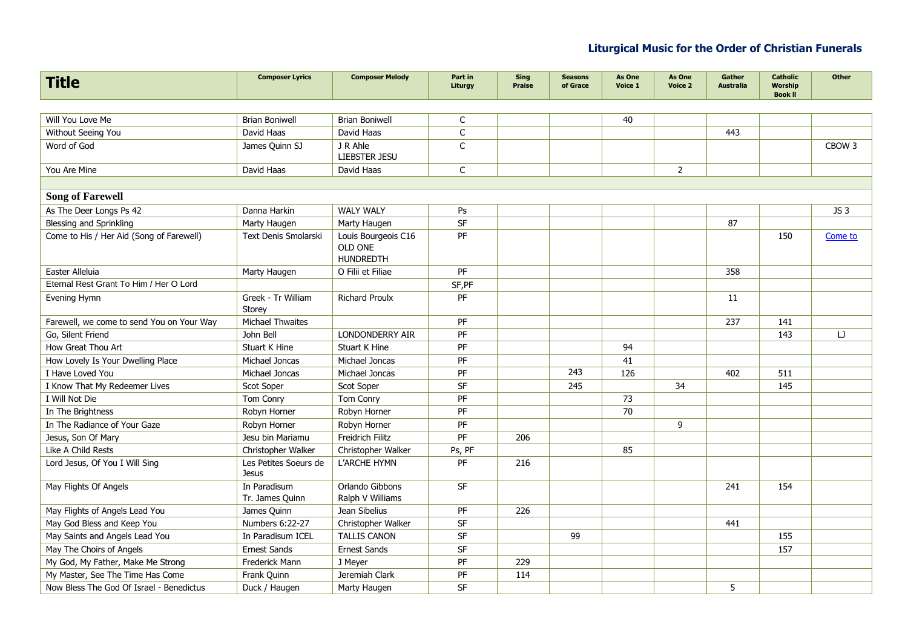| <b>Title</b>                              | <b>Composer Lyrics</b>                | <b>Composer Melody</b>                             | Part in<br>Liturgy | <b>Sing</b><br><b>Praise</b> | <b>Seasons</b><br>of Grace | As One<br>Voice 1 | As One<br>Voice 2 | Gather<br><b>Australia</b> | <b>Catholic</b><br><b>Worship</b><br><b>Book II</b> | <b>Other</b>      |
|-------------------------------------------|---------------------------------------|----------------------------------------------------|--------------------|------------------------------|----------------------------|-------------------|-------------------|----------------------------|-----------------------------------------------------|-------------------|
|                                           |                                       |                                                    |                    |                              |                            |                   |                   |                            |                                                     |                   |
| Will You Love Me                          | <b>Brian Boniwell</b>                 | <b>Brian Boniwell</b>                              | $\mathsf C$        |                              |                            | 40                |                   |                            |                                                     |                   |
| Without Seeing You                        | David Haas                            | David Haas                                         | $\mathsf C$        |                              |                            |                   |                   | 443                        |                                                     |                   |
| Word of God                               | James Quinn SJ                        | J R Ahle<br>LIEBSTER JESU                          | $\mathsf{C}$       |                              |                            |                   |                   |                            |                                                     | CBOW <sub>3</sub> |
| You Are Mine                              | David Haas                            | David Haas                                         | C                  |                              |                            |                   | $\overline{2}$    |                            |                                                     |                   |
|                                           |                                       |                                                    |                    |                              |                            |                   |                   |                            |                                                     |                   |
| <b>Song of Farewell</b>                   |                                       |                                                    |                    |                              |                            |                   |                   |                            |                                                     |                   |
| As The Deer Longs Ps 42                   | Danna Harkin                          | <b>WALY WALY</b>                                   | Ps                 |                              |                            |                   |                   |                            |                                                     | JS <sub>3</sub>   |
| Blessing and Sprinkling                   | Marty Haugen                          | Marty Haugen                                       | SF                 |                              |                            |                   |                   | 87                         |                                                     |                   |
| Come to His / Her Aid (Song of Farewell)  | <b>Text Denis Smolarski</b>           | Louis Bourgeois C16<br>OLD ONE<br><b>HUNDREDTH</b> | PF                 |                              |                            |                   |                   |                            | 150                                                 | Come to           |
| Easter Alleluia                           | Marty Haugen                          | O Filii et Filiae                                  | PF                 |                              |                            |                   |                   | 358                        |                                                     |                   |
| Eternal Rest Grant To Him / Her O Lord    |                                       |                                                    | SF,PF              |                              |                            |                   |                   |                            |                                                     |                   |
| Evening Hymn                              | Greek - Tr William<br>Storey          | <b>Richard Proulx</b>                              | PF                 |                              |                            |                   |                   | 11                         |                                                     |                   |
| Farewell, we come to send You on Your Way | <b>Michael Thwaites</b>               |                                                    | PF                 |                              |                            |                   |                   | 237                        | 141                                                 |                   |
| Go, Silent Friend                         | John Bell                             | LONDONDERRY AIR                                    | PF                 |                              |                            |                   |                   |                            | 143                                                 | $\Box$            |
| How Great Thou Art                        | Stuart K Hine                         | Stuart K Hine                                      | PF                 |                              |                            | 94                |                   |                            |                                                     |                   |
| How Lovely Is Your Dwelling Place         | Michael Joncas                        | Michael Joncas                                     | PF                 |                              |                            | 41                |                   |                            |                                                     |                   |
| I Have Loved You                          | Michael Joncas                        | Michael Joncas                                     | PF                 |                              | 243                        | 126               |                   | 402                        | 511                                                 |                   |
| I Know That My Redeemer Lives             | Scot Soper                            | Scot Soper                                         | SF                 |                              | 245                        |                   | 34                |                            | 145                                                 |                   |
| I Will Not Die                            | Tom Conry                             | Tom Conry                                          | PF                 |                              |                            | 73                |                   |                            |                                                     |                   |
| In The Brightness                         | Robyn Horner                          | Robyn Horner                                       | PF                 |                              |                            | 70                |                   |                            |                                                     |                   |
| In The Radiance of Your Gaze              | Robyn Horner                          | Robyn Horner                                       | PF                 |                              |                            |                   | 9                 |                            |                                                     |                   |
| Jesus, Son Of Mary                        | Jesu bin Mariamu                      | Freidrich Filitz                                   | PF                 | 206                          |                            |                   |                   |                            |                                                     |                   |
| Like A Child Rests                        | Christopher Walker                    | Christopher Walker                                 | Ps, PF             |                              |                            | 85                |                   |                            |                                                     |                   |
| Lord Jesus, Of You I Will Sing            | Les Petites Soeurs de<br><b>Jesus</b> | L'ARCHE HYMN                                       | PF                 | 216                          |                            |                   |                   |                            |                                                     |                   |
| May Flights Of Angels                     | In Paradisum<br>Tr. James Quinn       | Orlando Gibbons<br>Ralph V Williams                | SF                 |                              |                            |                   |                   | 241                        | 154                                                 |                   |
| May Flights of Angels Lead You            | James Quinn                           | Jean Sibelius                                      | PF                 | 226                          |                            |                   |                   |                            |                                                     |                   |
| May God Bless and Keep You                | Numbers 6:22-27                       | Christopher Walker                                 | SF                 |                              |                            |                   |                   | 441                        |                                                     |                   |
| May Saints and Angels Lead You            | In Paradisum ICEL                     | <b>TALLIS CANON</b>                                | SF                 |                              | 99                         |                   |                   |                            | 155                                                 |                   |
| May The Choirs of Angels                  | <b>Ernest Sands</b>                   | <b>Ernest Sands</b>                                | <b>SF</b>          |                              |                            |                   |                   |                            | 157                                                 |                   |
| My God, My Father, Make Me Strong         | Frederick Mann                        | J Meyer                                            | PF                 | 229                          |                            |                   |                   |                            |                                                     |                   |
| My Master, See The Time Has Come          | Frank Quinn                           | Jeremiah Clark                                     | PF                 | 114                          |                            |                   |                   |                            |                                                     |                   |
| Now Bless The God Of Israel - Benedictus  | Duck / Haugen                         | Marty Haugen                                       | <b>SF</b>          |                              |                            |                   |                   | 5                          |                                                     |                   |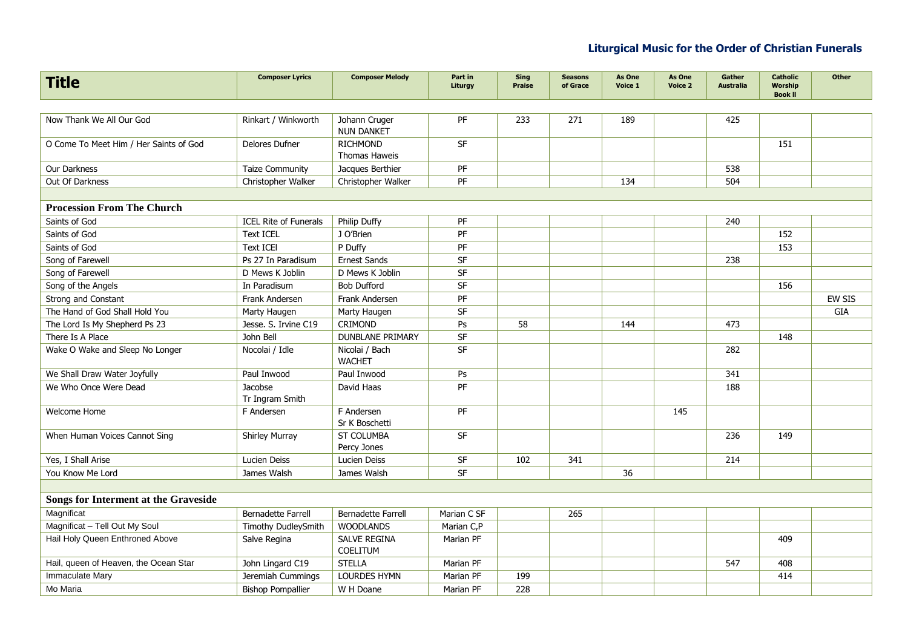| <b>Title</b>                                | <b>Composer Lyrics</b>       | <b>Composer Melody</b>             | Part in<br>Liturgy | <b>Sing</b><br><b>Praise</b> | <b>Seasons</b><br>of Grace | As One<br>Voice 1 | As One<br>Voice 2 | Gather<br><b>Australia</b> | <b>Catholic</b><br><b>Worship</b><br><b>Book II</b> | <b>Other</b>  |
|---------------------------------------------|------------------------------|------------------------------------|--------------------|------------------------------|----------------------------|-------------------|-------------------|----------------------------|-----------------------------------------------------|---------------|
|                                             |                              |                                    |                    |                              |                            |                   |                   |                            |                                                     |               |
| Now Thank We All Our God                    | Rinkart / Winkworth          | Johann Cruger<br><b>NUN DANKET</b> | <b>PF</b>          | 233                          | 271                        | 189               |                   | 425                        |                                                     |               |
| O Come To Meet Him / Her Saints of God      | Delores Dufner               | <b>RICHMOND</b><br>Thomas Haweis   | <b>SF</b>          |                              |                            |                   |                   |                            | 151                                                 |               |
| Our Darkness                                | <b>Taize Community</b>       | Jacques Berthier                   | PF                 |                              |                            |                   |                   | 538                        |                                                     |               |
| Out Of Darkness                             | Christopher Walker           | Christopher Walker                 | PF                 |                              |                            | 134               |                   | 504                        |                                                     |               |
|                                             |                              |                                    |                    |                              |                            |                   |                   |                            |                                                     |               |
| <b>Procession From The Church</b>           |                              |                                    |                    |                              |                            |                   |                   |                            |                                                     |               |
| Saints of God                               | <b>ICEL Rite of Funerals</b> | Philip Duffy                       | PF                 |                              |                            |                   |                   | 240                        |                                                     |               |
| Saints of God                               | <b>Text ICEL</b>             | J O'Brien                          | PF                 |                              |                            |                   |                   |                            | 152                                                 |               |
| Saints of God                               | <b>Text ICEI</b>             | P Duffy                            | PF                 |                              |                            |                   |                   |                            | 153                                                 |               |
| Song of Farewell                            | Ps 27 In Paradisum           | <b>Ernest Sands</b>                | SF                 |                              |                            |                   |                   | 238                        |                                                     |               |
| Song of Farewell                            | D Mews K Joblin              | D Mews K Joblin                    | SF                 |                              |                            |                   |                   |                            |                                                     |               |
| Song of the Angels                          | In Paradisum                 | <b>Bob Dufford</b>                 | SF                 |                              |                            |                   |                   |                            | 156                                                 |               |
| Strong and Constant                         | Frank Andersen               | Frank Andersen                     | PF                 |                              |                            |                   |                   |                            |                                                     | <b>EW SIS</b> |
| The Hand of God Shall Hold You              | Marty Haugen                 | Marty Haugen                       | SF                 |                              |                            |                   |                   |                            |                                                     | GIA           |
| The Lord Is My Shepherd Ps 23               | Jesse. S. Irvine C19         | CRIMOND                            | Ps                 | 58                           |                            | 144               |                   | 473                        |                                                     |               |
| There Is A Place                            | John Bell                    | <b>DUNBLANE PRIMARY</b>            | SF                 |                              |                            |                   |                   |                            | 148                                                 |               |
| Wake O Wake and Sleep No Longer             | Nocolai / Idle               | Nicolai / Bach<br><b>WACHET</b>    | <b>SF</b>          |                              |                            |                   |                   | 282                        |                                                     |               |
| We Shall Draw Water Joyfully                | Paul Inwood                  | Paul Inwood                        | Ps                 |                              |                            |                   |                   | 341                        |                                                     |               |
| We Who Once Were Dead                       | Jacobse<br>Tr Ingram Smith   | David Haas                         | PF                 |                              |                            |                   |                   | 188                        |                                                     |               |
| Welcome Home                                | F Andersen                   | F Andersen<br>Sr K Boschetti       | PF                 |                              |                            |                   | 145               |                            |                                                     |               |
| When Human Voices Cannot Sing               | <b>Shirley Murray</b>        | <b>ST COLUMBA</b><br>Percy Jones   | <b>SF</b>          |                              |                            |                   |                   | 236                        | 149                                                 |               |
| Yes, I Shall Arise                          | Lucien Deiss                 | Lucien Deiss                       | SF                 | 102                          | 341                        |                   |                   | 214                        |                                                     |               |
| You Know Me Lord                            | James Walsh                  | James Walsh                        | <b>SF</b>          |                              |                            | 36                |                   |                            |                                                     |               |
|                                             |                              |                                    |                    |                              |                            |                   |                   |                            |                                                     |               |
| <b>Songs for Interment at the Graveside</b> |                              |                                    |                    |                              |                            |                   |                   |                            |                                                     |               |
| Magnificat                                  | <b>Bernadette Farrell</b>    | <b>Bernadette Farrell</b>          | Marian C SF        |                              | 265                        |                   |                   |                            |                                                     |               |
| Magnificat - Tell Out My Soul               | Timothy DudleySmith          | <b>WOODLANDS</b>                   | Marian C,P         |                              |                            |                   |                   |                            |                                                     |               |
| Hail Holy Queen Enthroned Above             | Salve Regina                 | <b>SALVE REGINA</b><br>COELITUM    | Marian PF          |                              |                            |                   |                   |                            | 409                                                 |               |
| Hail, queen of Heaven, the Ocean Star       | John Lingard C19             | <b>STELLA</b>                      | Marian PF          |                              |                            |                   |                   | 547                        | 408                                                 |               |
| Immaculate Mary                             | Jeremiah Cummings            | <b>LOURDES HYMN</b>                | Marian PF          | 199                          |                            |                   |                   |                            | 414                                                 |               |
| Mo Maria                                    | <b>Bishop Pompallier</b>     | W H Doane                          | Marian PF          | 228                          |                            |                   |                   |                            |                                                     |               |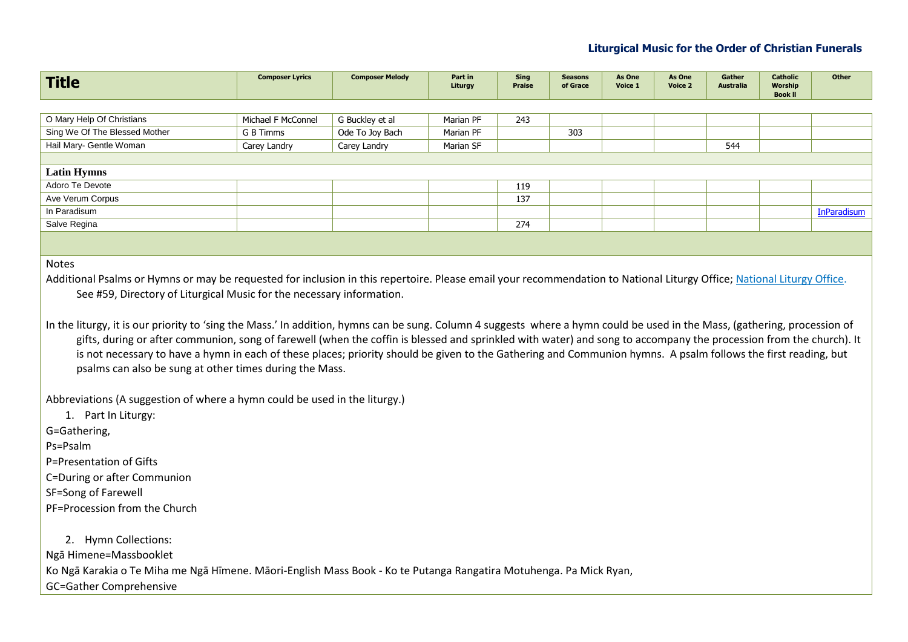| <b>Title</b>                                                                                                                                                                                                                                                                                                                                                                                                                                                                                                                                                                      | <b>Composer Lyrics</b> | <b>Composer Melody</b> | Part in<br>Liturgy | Sing<br><b>Praise</b> | <b>Seasons</b><br>of Grace | As One<br>Voice 1 | As One<br>Voice 2 | Gather<br><b>Australia</b> | <b>Catholic</b><br><b>Worship</b><br><b>Book II</b> | <b>Other</b>       |
|-----------------------------------------------------------------------------------------------------------------------------------------------------------------------------------------------------------------------------------------------------------------------------------------------------------------------------------------------------------------------------------------------------------------------------------------------------------------------------------------------------------------------------------------------------------------------------------|------------------------|------------------------|--------------------|-----------------------|----------------------------|-------------------|-------------------|----------------------------|-----------------------------------------------------|--------------------|
|                                                                                                                                                                                                                                                                                                                                                                                                                                                                                                                                                                                   |                        |                        |                    |                       |                            |                   |                   |                            |                                                     |                    |
| O Mary Help Of Christians                                                                                                                                                                                                                                                                                                                                                                                                                                                                                                                                                         | Michael F McConnel     | G Buckley et al        | Marian PF          | 243                   |                            |                   |                   |                            |                                                     |                    |
| Sing We Of The Blessed Mother                                                                                                                                                                                                                                                                                                                                                                                                                                                                                                                                                     | G B Timms              | Ode To Joy Bach        | Marian PF          |                       | 303                        |                   |                   |                            |                                                     |                    |
| Hail Mary- Gentle Woman                                                                                                                                                                                                                                                                                                                                                                                                                                                                                                                                                           | Carey Landry           | Carey Landry           | Marian SF          |                       |                            |                   |                   | 544                        |                                                     |                    |
|                                                                                                                                                                                                                                                                                                                                                                                                                                                                                                                                                                                   |                        |                        |                    |                       |                            |                   |                   |                            |                                                     |                    |
| <b>Latin Hymns</b>                                                                                                                                                                                                                                                                                                                                                                                                                                                                                                                                                                |                        |                        |                    |                       |                            |                   |                   |                            |                                                     |                    |
| Adoro Te Devote                                                                                                                                                                                                                                                                                                                                                                                                                                                                                                                                                                   |                        |                        |                    | 119                   |                            |                   |                   |                            |                                                     |                    |
| Ave Verum Corpus                                                                                                                                                                                                                                                                                                                                                                                                                                                                                                                                                                  |                        |                        |                    | 137                   |                            |                   |                   |                            |                                                     |                    |
| In Paradisum                                                                                                                                                                                                                                                                                                                                                                                                                                                                                                                                                                      |                        |                        |                    |                       |                            |                   |                   |                            |                                                     | <b>InParadisum</b> |
| Salve Regina                                                                                                                                                                                                                                                                                                                                                                                                                                                                                                                                                                      |                        |                        |                    | 274                   |                            |                   |                   |                            |                                                     |                    |
|                                                                                                                                                                                                                                                                                                                                                                                                                                                                                                                                                                                   |                        |                        |                    |                       |                            |                   |                   |                            |                                                     |                    |
| <b>Notes</b><br>Additional Psalms or Hymns or may be requested for inclusion in this repertoire. Please email your recommendation to National Liturgy Office; National Liturgy Office:<br>See #59, Directory of Liturgical Music for the necessary information.                                                                                                                                                                                                                                                                                                                   |                        |                        |                    |                       |                            |                   |                   |                            |                                                     |                    |
| In the liturgy, it is our priority to 'sing the Mass.' In addition, hymns can be sung. Column 4 suggests where a hymn could be used in the Mass, (gathering, procession of<br>gifts, during or after communion, song of farewell (when the coffin is blessed and sprinkled with water) and song to accompany the procession from the church). It<br>to can concert a chiaracteristic and a false concert and a chiaracteristic activities and a construction of the calculation of the control being the false of the control being the false of the control being the false of t |                        |                        |                    |                       |                            |                   |                   |                            |                                                     |                    |

is not necessary to have a hymn in each of these places; priority should be given to the Gathering and Communion hymns. A psalm follows the first reading, but psalms can also be sung at other times during the Mass.

Abbreviations (A suggestion of where a hymn could be used in the liturgy.)

1. Part In Liturgy:

G=Gathering,

Ps=Psalm

P=Presentation of Gifts

C=During or after Communion

SF=Song of Farewell

PF=Procession from the Church

2. Hymn Collections: Ngā Himene=Massbooklet Ko Ngā Karakia o Te Miha me Ngā Hīmene. Māori-English Mass Book - Ko te Putanga Rangatira Motuhenga. Pa Mick Ryan, GC=Gather Comprehensive